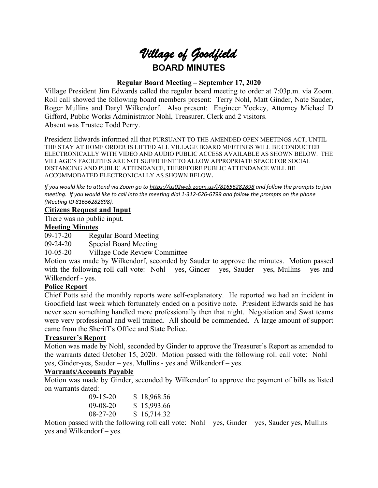

# **Regular Board Meeting – September 17, 2020**

Village President Jim Edwards called the regular board meeting to order at 7:03p.m. via Zoom. Roll call showed the following board members present: Terry Nohl, Matt Ginder, Nate Sauder, Roger Mullins and Daryl Wilkendorf. Also present: Engineer Yockey, Attorney Michael D Gifford, Public Works Administrator Nohl, Treasurer, Clerk and 2 visitors. Absent was Trustee Todd Perry.

President Edwards informed all that PURSUANT TO THE AMENDED OPEN MEETINGS ACT, UNTIL THE STAY AT HOME ORDER IS LIFTED ALL VILLAGE BOARD MEETINGS WILL BE CONDUCTED ELECTRONICALLY WITH VIDEO AND AUDIO PUBLIC ACCESS AVAILABLE AS SHOWN BELOW. THE VILLAGE'S FACILITIES ARE NOT SUFFICIENT TO ALLOW APPROPRIATE SPACE FOR SOCIAL DISTANCING AND PUBLIC ATTENDANCE, THEREFORE PUBLIC ATTENDANCE WILL BE ACCOMMODATED ELECTRONICALLY AS SHOWN BELOW**.**

*If you would like to attend via Zoom go to <https://us02web.zoom.us/j/81656282898> and follow the prompts to join meeting. If you would like to call into the meeting dial 1-312-626-6799 and follow the prompts on the phone (Meeting ID 81656282898).*

### **Citizens Request and Input**

There was no public input.

### **Meeting Minutes**

09-17-20 Regular Board Meeting

09-24-20 Special Board Meeting

10-05-20 Village Code Review Committee

Motion was made by Wilkendorf, seconded by Sauder to approve the minutes. Motion passed with the following roll call vote: Nohl – yes, Ginder – yes, Sauder – yes, Mullins – yes and Wilkendorf - yes.

## **Police Report**

Chief Potts said the monthly reports were self-explanatory. He reported we had an incident in Goodfield last week which fortunately ended on a positive note. President Edwards said he has never seen something handled more professionally then that night. Negotiation and Swat teams were very professional and well trained. All should be commended. A large amount of support came from the Sheriff's Office and State Police.

## **Treasurer's Report**

Motion was made by Nohl, seconded by Ginder to approve the Treasurer's Report as amended to the warrants dated October 15, 2020. Motion passed with the following roll call vote: Nohl – yes, Ginder-yes, Sauder – yes, Mullins - yes and Wilkendorf – yes.

## **Warrants/Accounts Payable**

Motion was made by Ginder, seconded by Wilkendorf to approve the payment of bills as listed on warrants dated:

| $(09-15-20)$   | \$18,968.56 |
|----------------|-------------|
| $(09-08-20)$   | \$15,993.66 |
| $08 - 27 - 20$ | \$16,714.32 |

Motion passed with the following roll call vote: Nohl – yes, Ginder – yes, Sauder yes, Mullins – yes and Wilkendorf – yes.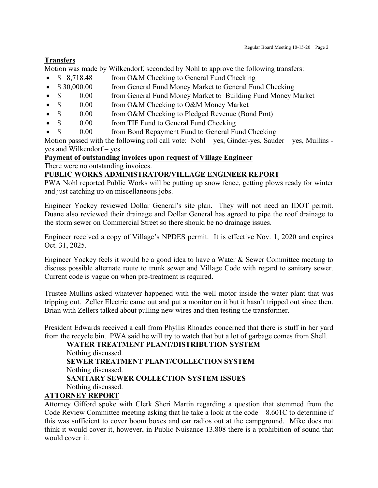# **Transfers**

Motion was made by Wilkendorf, seconded by Nohl to approve the following transfers:

- \$ 8,718.48 from O&M Checking to General Fund Checking
- \$30,000.00 from General Fund Money Market to General Fund Checking
- \$ 0.00 from General Fund Money Market to Building Fund Money Market
- \$ 0.00 from O&M Checking to O&M Money Market
- \$ 0.00 from O&M Checking to Pledged Revenue (Bond Pmt)
- \$ 0.00 from TIF Fund to General Fund Checking
- \$ 0.00 from Bond Repayment Fund to General Fund Checking

Motion passed with the following roll call vote: Nohl – yes, Ginder-yes, Sauder – yes, Mullins yes and Wilkendorf – yes.

# **Payment of outstanding invoices upon request of Village Engineer**

There were no outstanding invoices.

# **PUBLIC WORKS ADMINISTRATOR/VILLAGE ENGINEER REPORT**

PWA Nohl reported Public Works will be putting up snow fence, getting plows ready for winter and just catching up on miscellaneous jobs.

Engineer Yockey reviewed Dollar General's site plan. They will not need an IDOT permit. Duane also reviewed their drainage and Dollar General has agreed to pipe the roof drainage to the storm sewer on Commercial Street so there should be no drainage issues.

Engineer received a copy of Village's NPDES permit. It is effective Nov. 1, 2020 and expires Oct. 31, 2025.

Engineer Yockey feels it would be a good idea to have a Water & Sewer Committee meeting to discuss possible alternate route to trunk sewer and Village Code with regard to sanitary sewer. Current code is vague on when pre-treatment is required.

Trustee Mullins asked whatever happened with the well motor inside the water plant that was tripping out. Zeller Electric came out and put a monitor on it but it hasn't tripped out since then. Brian with Zellers talked about pulling new wires and then testing the transformer.

President Edwards received a call from Phyllis Rhoades concerned that there is stuff in her yard from the recycle bin. PWA said he will try to watch that but a lot of garbage comes from Shell.

**WATER TREATMENT PLANT/DISTRIBUTION SYSTEM** Nothing discussed. **SEWER TREATMENT PLANT/COLLECTION SYSTEM** Nothing discussed. **SANITARY SEWER COLLECTION SYSTEM ISSUES** Nothing discussed.

# **ATTORNEY REPORT**

Attorney Gifford spoke with Clerk Sheri Martin regarding a question that stemmed from the Code Review Committee meeting asking that he take a look at the code – 8.601C to determine if this was sufficient to cover boom boxes and car radios out at the campground. Mike does not think it would cover it, however, in Public Nuisance 13.808 there is a prohibition of sound that would cover it.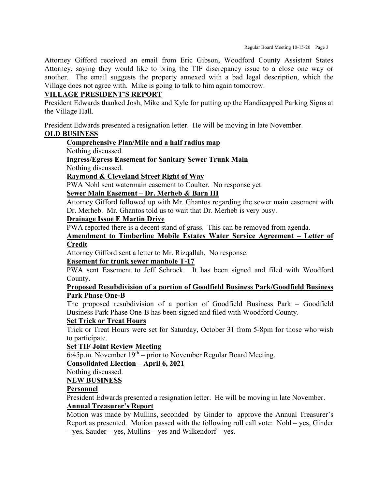Attorney Gifford received an email from Eric Gibson, Woodford County Assistant States Attorney, saying they would like to bring the TIF discrepancy issue to a close one way or another. The email suggests the property annexed with a bad legal description, which the Village does not agree with. Mike is going to talk to him again tomorrow.

## **VILLAGE PRESIDENT'S REPORT**

President Edwards thanked Josh, Mike and Kyle for putting up the Handicapped Parking Signs at the Village Hall.

President Edwards presented a resignation letter. He will be moving in late November.

# **OLD BUSINESS**

# **Comprehensive Plan/Mile and a half radius map**

Nothing discussed.

### **Ingress/Egress Easement for Sanitary Sewer Trunk Main**

Nothing discussed.

### **Raymond & Cleveland Street Right of Way**

PWA Nohl sent watermain easement to Coulter. No response yet.

### **Sewer Main Easement – Dr. Merheb & Barn III**

Attorney Gifford followed up with Mr. Ghantos regarding the sewer main easement with Dr. Merheb. Mr. Ghantos told us to wait that Dr. Merheb is very busy.

#### **Drainage Issue E Martin Drive**

PWA reported there is a decent stand of grass. This can be removed from agenda.

#### **Amendment to Timberline Mobile Estates Water Service Agreement – Letter of Credit**

Attorney Gifford sent a letter to Mr. Rizqallah. No response.

## **Easement for trunk sewer manhole T-17**

PWA sent Easement to Jeff Schrock. It has been signed and filed with Woodford County.

### **Proposed Resubdivision of a portion of Goodfield Business Park/Goodfield Business Park Phase One-B**

The proposed resubdivision of a portion of Goodfield Business Park – Goodfield Business Park Phase One-B has been signed and filed with Woodford County.

#### **Set Trick or Treat Hours**

Trick or Treat Hours were set for Saturday, October 31 from 5-8pm for those who wish to participate.

#### **Set TIF Joint Review Meeting**

 $\overline{6:45p.m.}$  November  $19<sup>th</sup> - prior$  to November Regular Board Meeting.

### **Consolidated Election – April 6, 2021**

Nothing discussed.

#### **NEW BUSINESS**

## **Personnel**

President Edwards presented a resignation letter. He will be moving in late November.

# **Annual Treasurer's Report**

Motion was made by Mullins, seconded by Ginder to approve the Annual Treasurer's Report as presented. Motion passed with the following roll call vote: Nohl – yes, Ginder – yes, Sauder – yes, Mullins – yes and Wilkendorf – yes.